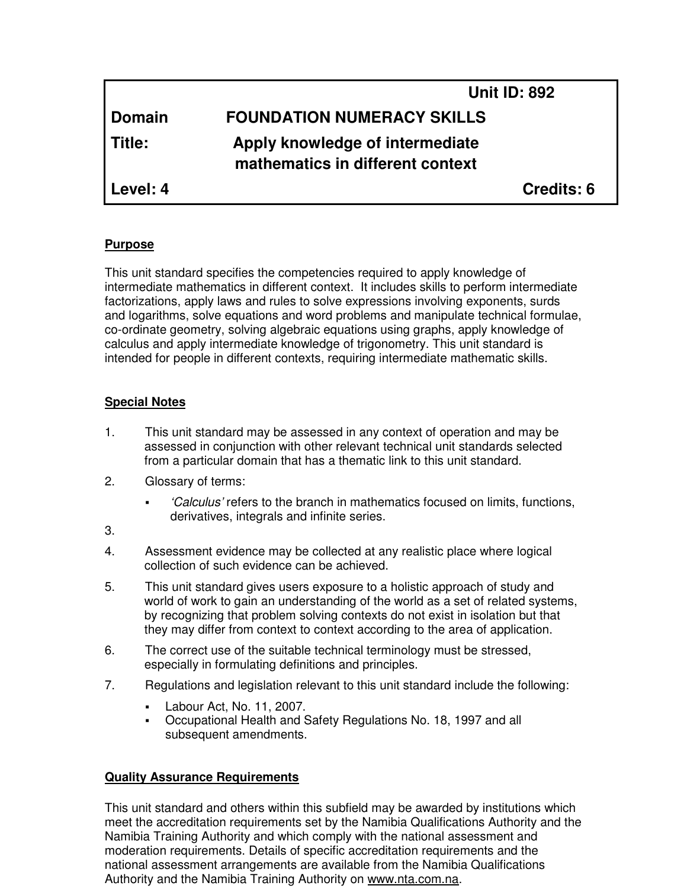|               | <b>Unit ID: 892</b>                                                 |  |
|---------------|---------------------------------------------------------------------|--|
| <b>Domain</b> | <b>FOUNDATION NUMERACY SKILLS</b>                                   |  |
| Title:        | Apply knowledge of intermediate<br>mathematics in different context |  |
| Level: 4      | Credits: 6                                                          |  |

#### **Purpose**

This unit standard specifies the competencies required to apply knowledge of intermediate mathematics in different context. It includes skills to perform intermediate factorizations, apply laws and rules to solve expressions involving exponents, surds and logarithms, solve equations and word problems and manipulate technical formulae, co-ordinate geometry, solving algebraic equations using graphs, apply knowledge of calculus and apply intermediate knowledge of trigonometry. This unit standard is intended for people in different contexts, requiring intermediate mathematic skills.

#### **Special Notes**

- 1. This unit standard may be assessed in any context of operation and may be assessed in conjunction with other relevant technical unit standards selected from a particular domain that has a thematic link to this unit standard.
- 2. Glossary of terms:
	- 'Calculus' refers to the branch in mathematics focused on limits, functions, derivatives, integrals and infinite series.
- 3.
- 4. Assessment evidence may be collected at any realistic place where logical collection of such evidence can be achieved.
- 5. This unit standard gives users exposure to a holistic approach of study and world of work to gain an understanding of the world as a set of related systems, by recognizing that problem solving contexts do not exist in isolation but that they may differ from context to context according to the area of application.
- 6. The correct use of the suitable technical terminology must be stressed, especially in formulating definitions and principles.
- 7. Regulations and legislation relevant to this unit standard include the following:
	- Labour Act, No. 11, 2007.
	- Occupational Health and Safety Regulations No. 18, 1997 and all subsequent amendments.

# **Quality Assurance Requirements**

This unit standard and others within this subfield may be awarded by institutions which meet the accreditation requirements set by the Namibia Qualifications Authority and the Namibia Training Authority and which comply with the national assessment and moderation requirements. Details of specific accreditation requirements and the national assessment arrangements are available from the Namibia Qualifications Authority and the Namibia Training Authority on www.nta.com.na.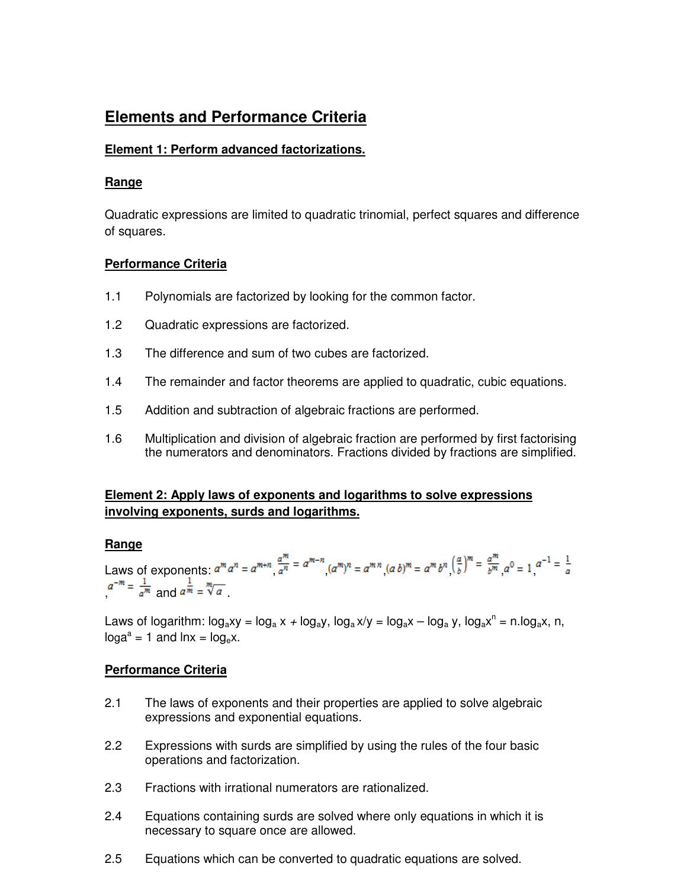# **Elements and Performance Criteria**

#### **Element 1: Perform advanced factorizations.**

### **Range**

Quadratic expressions are limited to quadratic trinomial, perfect squares and difference of squares.

# **Performance Criteria**

- 1.1 Polynomials are factorized by looking for the common factor.
- 1.2 Quadratic expressions are factorized.
- 1.3 The difference and sum of two cubes are factorized.
- 1.4 The remainder and factor theorems are applied to quadratic, cubic equations.
- 1.5 Addition and subtraction of algebraic fractions are performed.
- 1.6 Multiplication and division of algebraic fraction are performed by first factorising the numerators and denominators. Fractions divided by fractions are simplified.

# **Element 2: Apply laws of exponents and logarithms to solve expressions involving exponents, surds and logarithms.**

# **Range**

Laws of exponents:  $a^m a^n = a^{m+n} \frac{a^m}{a^n} = a^{m-n} (a^m)^n = a^{m n} (a b)^m = a^m b^n \left(\frac{a}{b}\right)^m = \frac{a^m}{b^m} a^0 = 1$   $a^{-1} = \frac{1}{a}$  $a^{-m} = \frac{1}{a^m}$  and  $a^{\frac{1}{m}} = \sqrt[m]{a}$ 

Laws of logarithm:  $log_a xy = log_a x + log_a y$ ,  $log_a x/y = log_a x - log_a y$ ,  $log_a x^n = n.log_a x$ , n,  $\log a^a = 1$  and  $\ln x = \log_e x$ .

# **Performance Criteria**

- 2.1 The laws of exponents and their properties are applied to solve algebraic expressions and exponential equations.
- 2.2 Expressions with surds are simplified by using the rules of the four basic operations and factorization.
- 2.3 Fractions with irrational numerators are rationalized.
- 2.4 Equations containing surds are solved where only equations in which it is necessary to square once are allowed.
- 2.5 Equations which can be converted to quadratic equations are solved.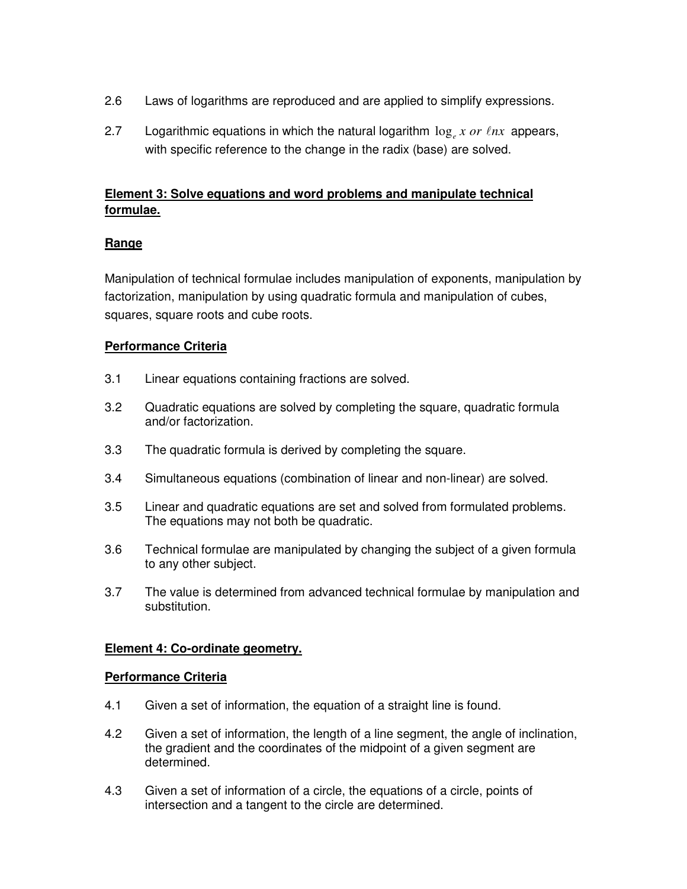- 2.6 Laws of logarithms are reproduced and are applied to simplify expressions.
- 2.7 Logarithmic equations in which the natural logarithm  $\log_e x$  or  $lnx$  appears, with specific reference to the change in the radix (base) are solved.

# **Element 3: Solve equations and word problems and manipulate technical formulae.**

# **Range**

Manipulation of technical formulae includes manipulation of exponents, manipulation by factorization, manipulation by using quadratic formula and manipulation of cubes, squares, square roots and cube roots.

# **Performance Criteria**

- 3.1 Linear equations containing fractions are solved.
- 3.2 Quadratic equations are solved by completing the square, quadratic formula and/or factorization.
- 3.3 The quadratic formula is derived by completing the square.
- 3.4 Simultaneous equations (combination of linear and non-linear) are solved.
- 3.5 Linear and quadratic equations are set and solved from formulated problems. The equations may not both be quadratic.
- 3.6 Technical formulae are manipulated by changing the subject of a given formula to any other subject.
- 3.7 The value is determined from advanced technical formulae by manipulation and substitution.

# **Element 4: Co-ordinate geometry.**

#### **Performance Criteria**

- 4.1 Given a set of information, the equation of a straight line is found.
- 4.2 Given a set of information, the length of a line segment, the angle of inclination, the gradient and the coordinates of the midpoint of a given segment are determined.
- 4.3 Given a set of information of a circle, the equations of a circle, points of intersection and a tangent to the circle are determined.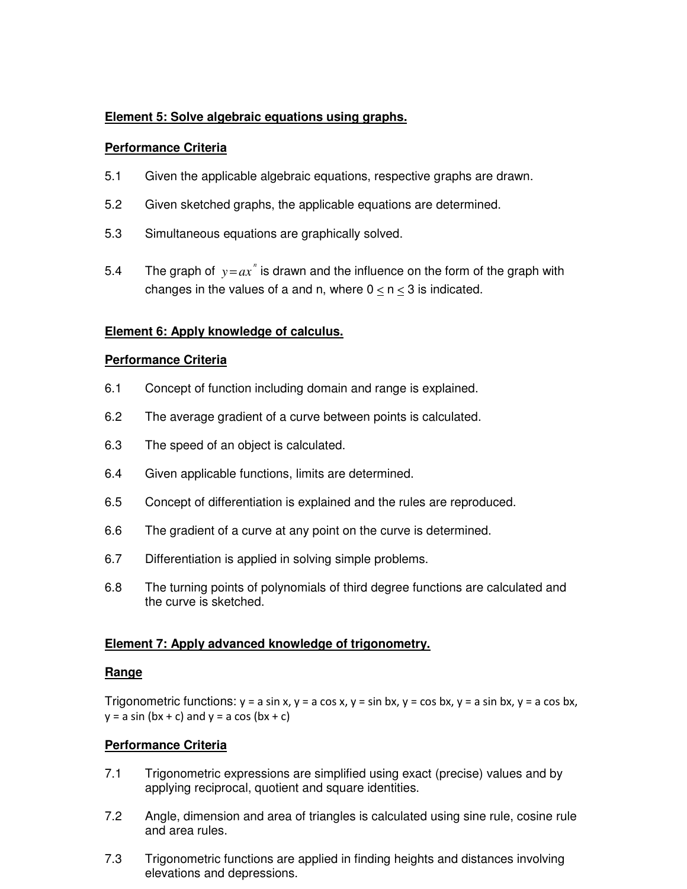#### **Element 5: Solve algebraic equations using graphs.**

#### **Performance Criteria**

- 5.1 Given the applicable algebraic equations, respective graphs are drawn.
- 5.2 Given sketched graphs, the applicable equations are determined.
- 5.3 Simultaneous equations are graphically solved.
- 5.4 The graph of  $y = ax^n$  is drawn and the influence on the form of the graph with changes in the values of a and n, where  $0 \le n \le 3$  is indicated.

#### **Element 6: Apply knowledge of calculus.**

#### **Performance Criteria**

- 6.1 Concept of function including domain and range is explained.
- 6.2 The average gradient of a curve between points is calculated.
- 6.3 The speed of an object is calculated.
- 6.4 Given applicable functions, limits are determined.
- 6.5 Concept of differentiation is explained and the rules are reproduced.
- 6.6 The gradient of a curve at any point on the curve is determined.
- 6.7 Differentiation is applied in solving simple problems.
- 6.8 The turning points of polynomials of third degree functions are calculated and the curve is sketched.

#### **Element 7: Apply advanced knowledge of trigonometry.**

#### **Range**

Trigonometric functions:  $y = a \sin x$ ,  $y = a \cos x$ ,  $y = \sin bx$ ,  $y = \cos bx$ ,  $y = a \sin bx$ ,  $y = a \cos bx$ ,  $y = a \sin (bx + c)$  and  $y = a \cos (bx + c)$ 

# **Performance Criteria**

- 7.1 Trigonometric expressions are simplified using exact (precise) values and by applying reciprocal, quotient and square identities.
- 7.2 Angle, dimension and area of triangles is calculated using sine rule, cosine rule and area rules.
- 7.3 Trigonometric functions are applied in finding heights and distances involving elevations and depressions.